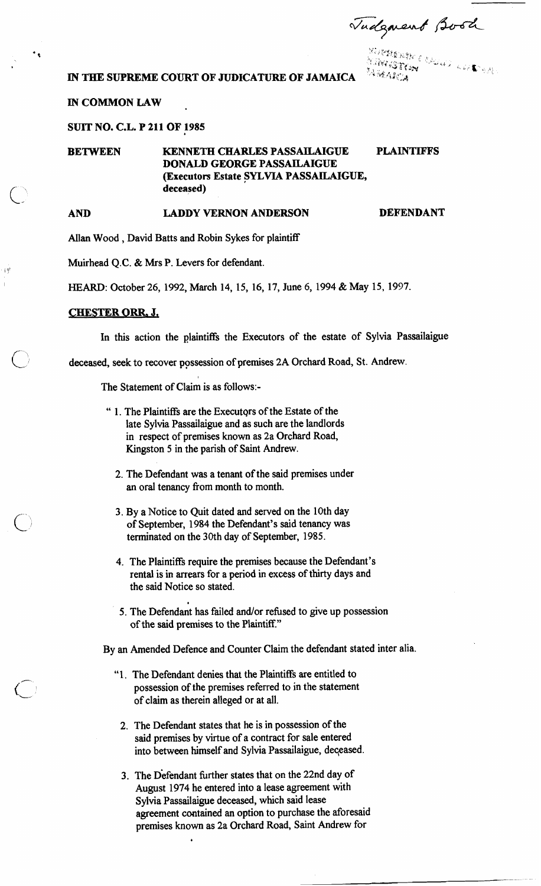Tudgment Book

**<sup>k</sup>**.- ,', ,> ?\$;i \$. ,. ,. **.a.** ?L:;'y ;: ,, , '., '. , . , . ., p<:, <; :;',- ., 1,' , ; , **X' ib** ,, **7** .. *j* **g C'2,y** ,:,, **A** :. , ., ,,:\ .. . **IN THE SUPREME COURT OF JUDICATURE OF JAMAICA** '~'""' **3 a** '&- .: **,:4** 

## **IN COMMON LAW**

**SUIT NO. C.L. P 211 OF 1985** 

**BETWEEN KENNETH CHARLES PASSAILAIGUE PLAINTIFFS DONALD GEORGE PASSAILAIGUE (Executors Estate SYLVIA PASSAILAIGUE, deceased)** 

۰.

49

# **AND LADDY VERNON ANDERSON DEFENDANT**

Allan Wood , David Batts and Robin Sykes for plaintiff

Muirhead O.C. & Mrs P. Levers for defendant.

HEARD: October 26, 1992, March 14, 15, 16, 17, June 6, 1994 & May 15, 1997.

## **CHESTER ORR. J,**

In this action the plaintiffs the Executors of the estate of Sylvia Passailaigue

deceased, seek to recover possession of premises 2A Orchard Road, St. Andrew.

The Statement of Claim is as follows:-

- " 1. The Plaintiffs are the Executqrs of the Estate of the late Sylvia Passailaigue and as such are the landlords in respect of premises known as 2a Orchard Road, Kingston 5 in the parish of Saint Andrew.
	- 2. The Defendant was a tenant of the said premises under an oral tenancy from month to month.
	- 3. By a Notice to Quit dated and served on the 10th day of September, 1984 the Defendant's said tenancy was terminated on the 30th day of September, 1985.
	- 4. The Plaintiffs require the premises because the Defendant's rental is in arrears for a period in excess of thirty days and the said Notice so stated.
	- 5. The Defendant has failed and/or refused to give up possession of the said premises to the Plaintiff."

By an Amended Defence and Counter Claim the defendant stated inter alia.

- "1. The Defendant denies that the Plaintiffs are entitled to possession of the premises referred to in the statement of claim as therein alleged or at all.
	- 2. The Defendant states that he is in possession of the said premises by virtue of a contract for sale entered into between himself and Sylvia Passailaigue, deqeased.
	- 3. The Defendant further states that on the 22nd day of August 1974 he entered into a lease agreement with Sylvia Passailaigue deceased, which said lease agreement contained an option to purchase the aforesaid premises known as 2a Orchard Road, Saint Andrew for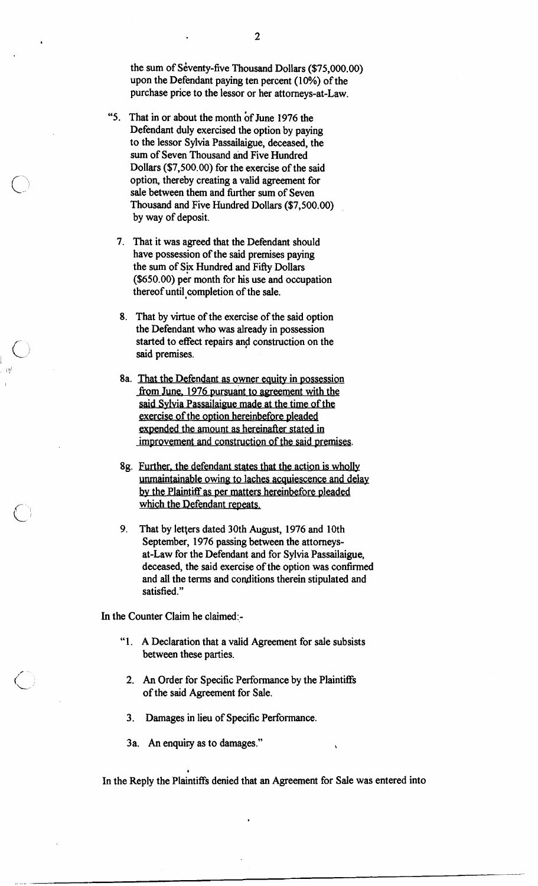the sum of Seventy-five Thousand Dollars (\$75,000.00) upon the Defendant paying ten percent (10%) of the purchase price to the lessor or her attorneys-at-law.

- "5. That in or about the month of June 1976 the Defendant duly exercised the option by paying to the lessor Sylvia Passailaigue, deceased, the sum of Seven Thousand ahd Five Hundred Dollars (\$7,500.00) for the exercise of the said option, thereby creating a valid agreement for sale between them and further sum of Seven Thousand and Five Hundred Dollars (\$7,500.00) by way of deposit.
	- 7. That it was agreed that the Defendant should have possession of the said premises paying the sum of Six Hundred and FiRy Dollars  $($650.00)$  per month for his use and occupation thereof until qompletion of the sale.
	- 8. That by virtue of the exercise of the said option the Defendant who was already in possession started to effect repairs and construction on the said premises.
	- 8a. That the Defendant as owner equity in possession from June, 1976 pursuant to agreement with the said Sylvia Passailaigue made at the time of the gxercise of the option hereinbefore pleaded expended the amount as hereinafter stated in improvement and construction of the said premises.
	- 8g. Further. the defendant states that the action is wholly unrnaintainable owing to laches acquiescence and delay by the Plaintiff as per matters hereinbefore pleaded which the Defendant repeats.
	- 9. That by letters dated 30th August, 1976 and 10th September, 1976 passing between the attorneysat-Law for the Defendant and for Sylvia Passailaigue, deceased, the said exercise of the option was confirmed and all the terms and conditions therein stipulated and satisfied."

In the Counter Claim he claimed:-

- "1. A Declaration that a valid Agreement for sale subsists between these parties.
- 2. **An** Order for Specific Performance by the Plaintiffs of the said Agreement for Sale.
- 3. Damages in lieu of Specific Performance.
- 3a. **An** enquiry as to damages." **<sup>t</sup>**

*I* 

In the Reply the Plaintiffs denied that an Agreement for Sale was entered into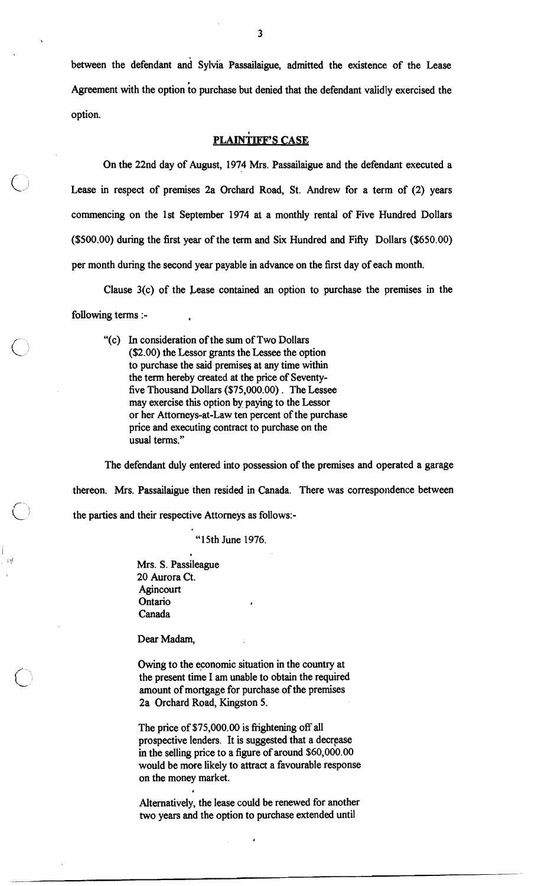between the defendant and Sylvia Passailaigue, admitted the existence of the Lease Agreement with the option io purchase but denied that the defendant validly exercised the option.

## **PLAINTIFF'S CASE**

On the 22nd day of August, 1974 Mrs. Passailaigue and the defendant executed a Lease in respect of premises 2a Orchard Road, St. Andrew for a term of (2) years commencing on the 1st September 1974 at a monthly rental of Five Hundred Dollars (\$500.00) during the first year of the term and Six Hundred and Fifty Dollars (\$650.00) per month during the second year payable in advance on the first day of each month.

Clause 3(c) of the Lease contained an option to purchase the premises in the following terms :- **<sup>a</sup>**

"(c) In consideration of the sum of Two Dollars (\$2.00) the Lessor grants the Lessee the option to purchase the said premises at any time within the term hereby created at the price of Seventyfive Thousand Dollars (\$75,000.00) . The Lessee may exercise this option by paying to the Lessor or her Attorneys-at-Law ten percent of the purchase price and executing contract to purchase on the usual terms."

The defendant duly entered into possession of the premises and operated a garage thereon. Mrs. Passailaigue then resided in Canada. There was correspondence between the parties and their respective Attorneys as follows:-

"15th June 1976.

Mrs. S. Passileague 20 Aurora Ct. **Agincourt** Ontario **<sup>a</sup>** Canada

**I** 

Dear Madam,

Owing to the economic situation in the country at the present time I am unable to obtain the required amount of mortgage for purchase of the premises 2a Orchard Road, Kingston 5.

The price of \$75,000.00 is frightening off all prospective lenders. It is suggested that a decrease in the selling price to a figure of around \$60,000.00 would be more likely to attract a favourable response on the money market.

Alternatively, the lease could be renewed for another two years and the option to purchase extended until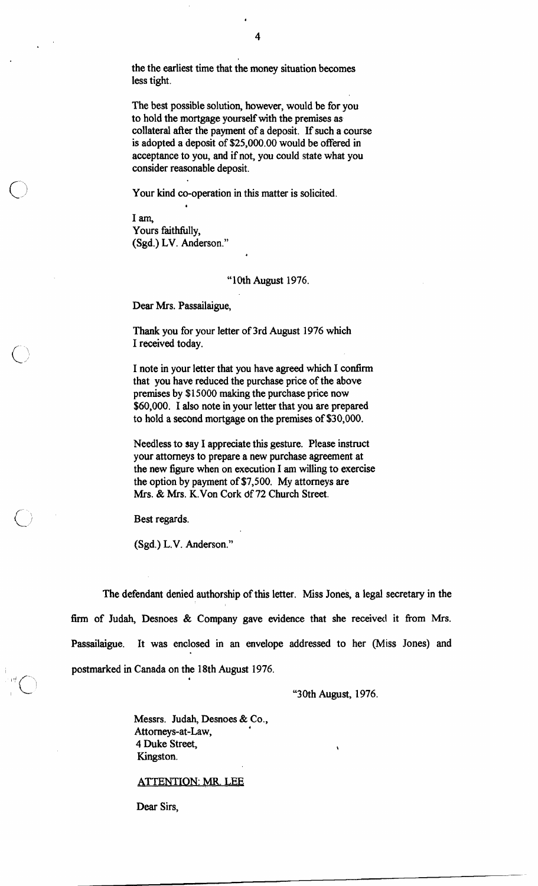the the earliest time that the money situation becomes less tight.

The best possible solution, however, would be for you to hold the mortgage yourself with the premises as collateral after the payment of a deposit. If such a course is adopted a deposit of \$25,000.00 would be offered in acceptance to you, and if not, you could state what you consider reasonable deposit.

Your kind co-operation in this matter is solicited.

I **am,**  Yours faithfully. (Sgd.) LV. Anderson."

**a** 

"10th August 1976.

Dear Mrs. Passailaigue,

Thank you for your letter of 3rd August 1976 which I received today.

I note in your letter that you have agreed which I **confirm**  that you have reduced the purchase price of the above premises by \$15000 making the purchase price now \$60,000. I also note in your letter that you are prepared to hold a second mortgage on the premises of \$30,000.

Needless to say I appreciate this gesture. Please instruct your attorneys to prepare a new purchase agreement at the new figure when on execution I am willing to exercise the option by payment of \$7,500. My attorneys are Mrs. & Mrs. K.Von Cork df 72 Church Street.

Best regards.

(Sgd.) L.V. Anderson."

The defendant denied authorship of this letter. Miss Jones, a legal secretary in the firm of Judah, Desnoes & Company gave evidence that she received it from Mrs. Passailaigue. It was enclosed in an envelope addressed to her (Miss Jones) and postmarked in Canada on the 18th August 1976.

"30th August, 1976.

Messrs. Judah, Desnoes & Co., Attorneys-at-Law, **<sup>4</sup>** 4 Duke Street, Kingston.

ATTENTION: **w.** LEE

**a** 

Dear Sirs,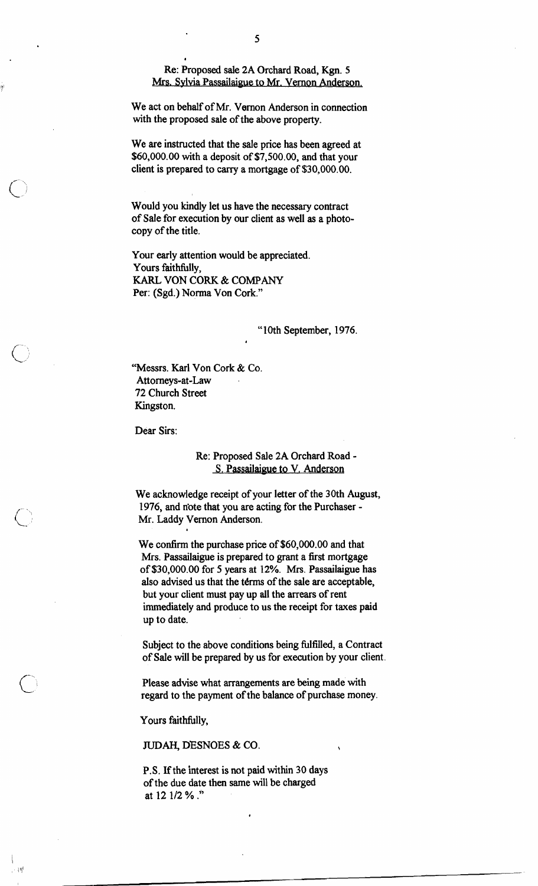Re: Proposed sale 2A Orchard Road, Kgn. 5 Mrs. Sylvia Passailaigue to Mr. Vernon Anderson,

We act on behalf of Mr. Vernon Anderson in connection with the proposed sale of the above property.

*8* 

We are instructed that the sale price has been agreed at \$60,000.00 with a deposit of \$7,500.00, and that your client is prepared to carry a mortgage of \$30,000.00.

Would you kindly let us have the necessary contract of Sale for execution by our client as well as a photocopy of the title.

**4** 

Your early attention would be appreciated. Yours faithfully, KARL VON CORK & COMPANY Per: (Sgd.) Norma Von Cork."

"10th September, 1976.

"Messrs. Karl Von Cork & Co. Attorneys-at-Law 72 Church Street Kingston.

*8* 

Dear Sirs:

## Re: Proposed Sale 2A Orchard Road - **S. Passailaigue to V. Anderson**

We acknowledge receipt of your letter of the 30th August, 1976, and note that you are acting for the Purchaser -Mr. Laddy Vernon Anderson.

We confirm the purchase price of \$60,000.00 and that Mrs. Passailaigue is prepared to grant a first mortgage of \$30,000.00 for **5** years at 12%. Mrs. Passailaigue has also advised us that the terms of the sale are acceptable, but your client must pay up all the arrears of rent immediately and produce to us the receipt for taxes paid up to date.

Subject to the above conditions being fulfilled, a Contract of Sale will be prepared by us for execution by your client.

Please advise what arrangements are being made with regard to the payment of the balance of purchase money.

Yours faithfully,

- 10

**JUDAH,** DESNOES & CO.

P.S. If the interest is not paid within 30 days of the due date then same will be charged at 12 112 % .'"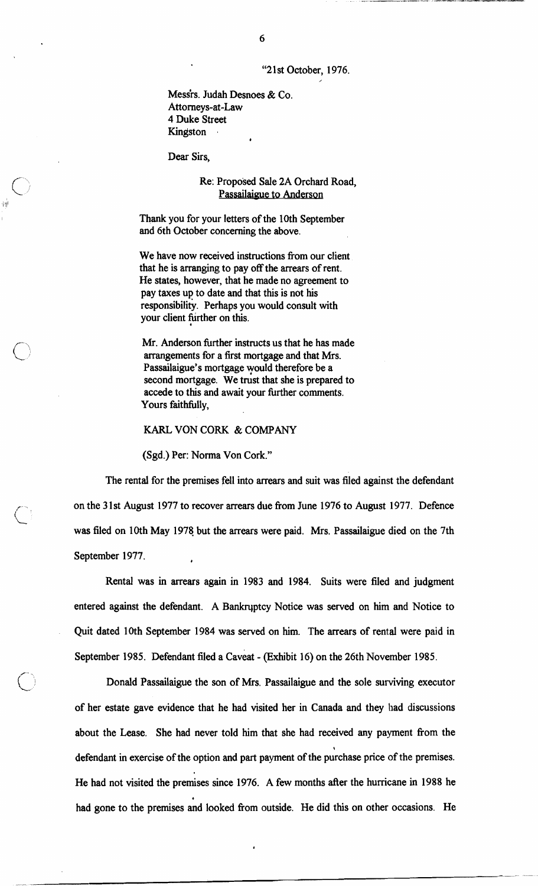"21st October, 1976.

Messis. Judah Desnoes & Co. Attorneys-at-Law 4 Duke Street Kingston

Dear Sirs,

Re: Proposed Sale 2A Orchard Road, Passailaigue to Anderson

**Thank** you for your letters of the 10th September and 6th October concerning the above.

We have now received instructions from our client that he is arranging to pay off the arrears of rent. He states, however, that he made no agreement to pay taxes up to date and that this is not his responsibility. Perhaps you would consult with your client fiirther on this.

Mr. Anderson further instructs us that he has made arrangements for a first mortgage and that Mrs. Passailaigue's mortgage yould therefore be a second mortgage. We trust that she is prepared to accede to this and await your further comments. Yours faithfully,

KARL VON CORK & COMPANY

(Sgd.) Per: Norma Von Cork."

The rental for the premises fell into arrears and suit was filed against the defendant on the 31st August 1977 to recover arrears due from June 1976 to August 1977. Defence was filed on 10th May 1978 but the arrears were paid. Mrs. Passailaigue died on the 7th September 1977. **<sup>a</sup>**

Rental was in arrears again in 1983 and 1984. Suits were filed and judgment entered against the defendant. A Bankrqptcy Notice was served on him and Notice to Quit dated 10th September 1984 was served on him. The arrears of rental were paid in September 1985. Defendant filed a caveat - (Exhibit 16) on the 26th November 1985.

Donald Passailaigue the son of Mrs. Passailaigue and the sole surviving executor of her estate gave evidence that he had visited her in Canada and they had discussions about the Lease. She had never told him that she had received any payment from the defendant in exercise of the option and part payment of the purchase price of the premises. He had not visited the premises since 1976. A few months after the hurricane in 1988 he . had gone to the premises and looked fiom outside. He did this on other occasions. He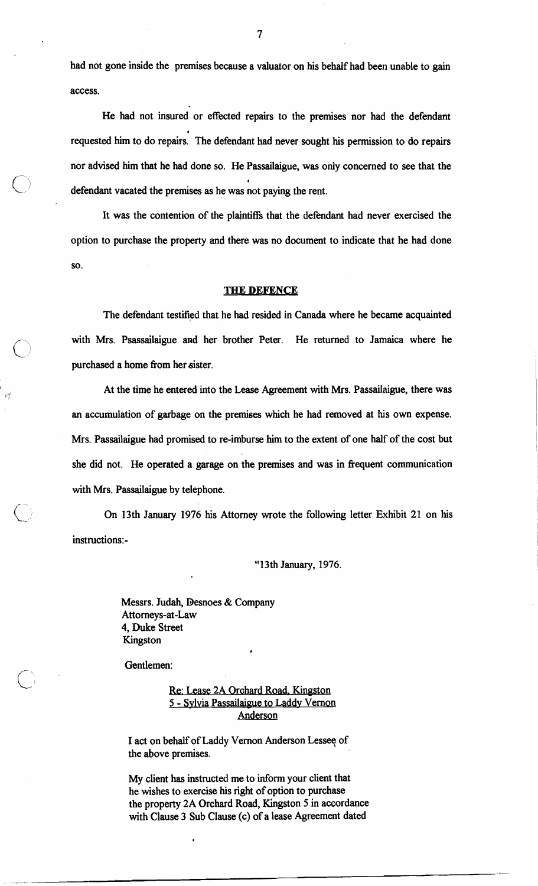had not gone inside the premises because a valuator on his behalf had been unable to gain access.

He had not insured or effected repairs to the premises nor had the defendant requested him to do repairs. The defendant had never sought his permission to do repairs nor advised him that he had done so. He Passailaigue, was only concerned to see that the defendant vacated the premises as he was not paying the rent.

It was the contention of the plantiffs that the defendant had never exercised the option to purchase the property and there was no document to indicate that he had done so.

### **THE DEFENCE**

The defendant testified that he had resided in Canada where he became acquainted with Mrs. Psassailaigue and her brother Peter. He returned to Jamaica where he purchased a home fiom her sister.

At the time he entered into the Lease Agreement with Mrs. Passailaigue, there was an accumulation of garbage on the premises which he had removed at his own expense. Mrs. Passailaigue had promised to re-imburse him to the extent of one half of the cost but she did not. He operated a garage on the premises and was in fiequent communication with Mrs. Passailaigue by telephone.

(.- On 13th January 1976 his Attorney wrote the following letter Exhibit 21 on his instructions:-

"1 3th January, 1976.

Messrs. Judah, Desnoes & Company Attorneys-at-Law 4, Duke Street Kingston

Gentlemen:

 $\bigcirc$ 

I I!

Re: Lease 2A Orohard Road. Kingston 5 - Sylvia Passailaigue to Laddy Vernon Anderson

**4** 

I act on behalf of Laddy Vernon Anderson Lesseq of the above premises.

My client has instructed me to inform your client that he wishes to exercise his right of option to purchase the property 2A Orchard Road, Kingston 5 in accordance with Clause 3 Sub Clause (c) of a lease Agreement dated

 $\overline{7}$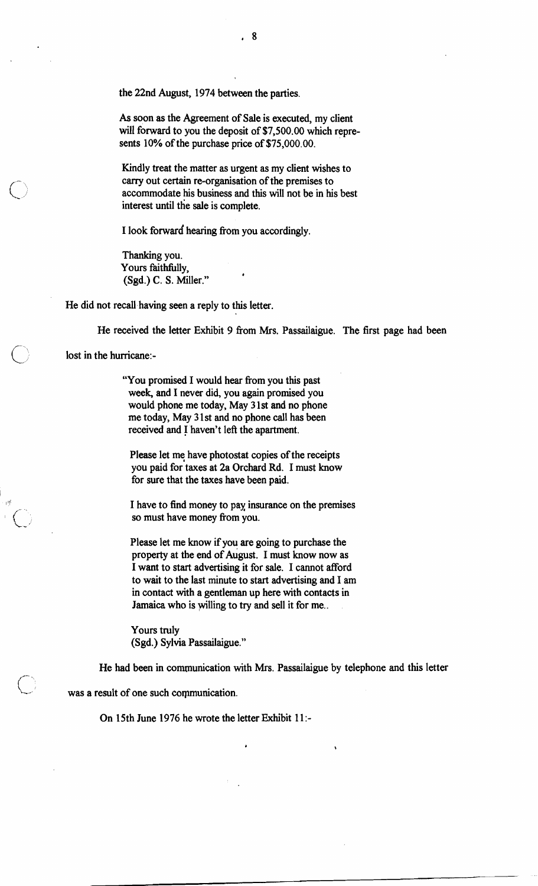the 22nd August, 1974 between the parties.

As soon as the Agreement of Sale is executed, my client will forward to you the deposit of \$7,500.00 which represents 10% of the purchase price of \$75,000.00.

Kindly treat the matter as urgent as my client wishes to carry out certain re-organisation of the premises to accommodate his business and this will not be in his best interest until the sale is complete.

I look forward hearing from you accordingly.

Thanking you. Yours faithfully, (Sgd.) C. S. Miller." **<sup>4</sup>**

He did not recall having seen a reply to this letter.

He received the letter Exhibit 9 from Mrs. Passailaigue. The first page had been lost in the hurricane:-

"You promised I would hear from you this past week, and I never did, you again promised you would phone me today, May 3 1st and no phone me today, May 3 1 st and no phone call has been received and I haven't left the apartment.

Please let me have photostat copies of the receipts you paid for taxes at 2a Orchard Rd. I must know for sure that the taxes have been paid.

I have to find money to pax insurance on the premises so must have money from you.

Please let me know if you are going to purchase the property at the end of August. I must know now as I want to start advertising it for sale. I cannot afford to wait to the last minute to start advertising and I am in contact with a gentleman up here with contacts in Jamaica who is yilling to try and sell it for me..

Yours truly (Sgd.) Sylvia Passailaigue."

He had been in comunication with Mrs. Passailaigue by telephone and this letter

was a result of one such communication.

On 15th June 1976 he wrote the letter Exhibit 11:-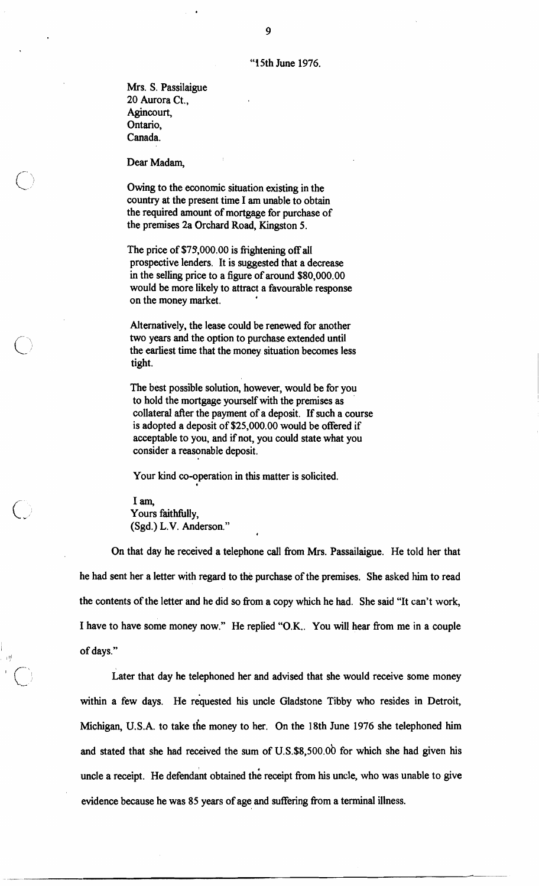Mrs. S. Passilaigue 20 Aurora Ct., Agincourt, Ontario, Canada.

Dear Madam,

Owing to the economic situation existing in the country at the present time I am unable to obtain the required amount of mortgage for purchase of the premises 2a Orchard Road, Kingston 5.

The price of \$75,000.00 is frightening off all prospective lenders. It is suggested that a decrease in the selling price to a figure of around \$80,000.00 would be more likely to attract a favourable response on the money market. **<sup>4</sup>**

Alternatively, the lease could be renewed for another two years and the option to purchase extended until the earliest time that the money situation becomes less tight.

The best possible solution, however, would be for you to hold the mortgage yourself with the premises as collateral after the payment of a deposit. If such a course is adopted a deposit of \$25,000.00 would be offered if acceptable to you, and if not, you could state what you consider a reasonable deposit.

Your kind co-operation in this matter is solicited.

**1** am, Yours faithfully, (Sgd.) L.V. Anderson."

11)'

\*

On that day he received a telephone call from Mrs. Passailaigue. He told her that he had sent her a letter with regard to the purchase of the premises. She asked him to read the contents of the letter and he did so from a copy which he had. She said "It can't work, I have to have some money now." He replied "O.K.. You will hear fiom me in a couple of days."

Later that day he telephoned her and advised that she would receive some money within a few days. He requested his uncle Gladstone Tibby who resides in Detroit, Michigan, U.S.A. to take the money to her. On the 18th June 1976 she telephoned him and stated that she had received the sum of  $U.S.S8,500.00$  for which she had given his uncle a receipt. He defendant obtained the receipt from his uncle, who was unable to give evidence because he was 85 years of age and suffering from a terminal illness.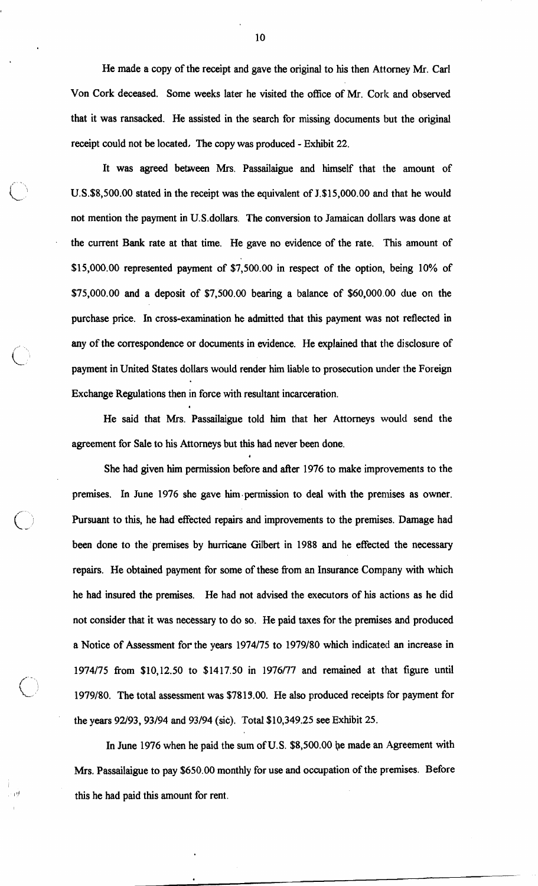He made a copy of the receipt and gave the original to his then Attorney Mr. Carl Von Cork deceased. Some weeks later he visited the office of Mr. Cork and observed that it was ransacked. He assisted in the search for missing documents but the original receipt could not be located, The copy was produced - Exhibit 22.

It was agreed between Mrs. Passailaigue and himself that the amount of U.S.\$8,500.00 stated in the receipt was the equivalent of J.\$15,000.00 and that he would not mention the payment in U.S.dollars. The conversion to Jamaican dollars was done at the current Bank rate at that time. He gave no evidence of the rate. This amount of \$15,000.00 represented payment of \$7,500.00 in respect of the option, being 10% of \$75,000.00 and a deposit of \$7,500.00 bearing a balance of \$60,000.00 due on the purchase price. In cross-examination he admitted that this payment was not reflected in any of the correspondence or documents in evidence. He explained that the disclosure of payment in United States dollars would render him liable to prosecution under the Foreign Exchange Regulations then in force with resultant incarceration. .

He said that Mrs. Passailaigue told him that her Attorneys would send the agreement for Sale to his Attorneys but this had never been done.

*I* 

 $\bigcirc$ 

She had given him permission before and after 1976 to make improvements to the premises. In June 1976 she gave him.permission to deal with the premises as owner. Pursuant to this, he had effected repairs and improvements to the premises. Damage had been done to the'premises by hurricane Gilbert in 1988 and he effected the necessary repairs. He obtained payment for some of these fiom an Insurance Company with which he had insured the premises. He had not advised the executors of his actions as he did not consider that it was necessary to do so. He paid taxes for the premises and produced a Notice of Assessment for the years 1974/75 to 1979/80 which indicated an increase in 1974175 fiom \$10,12.50 to \$1417.50 in 1976177 and remained at that figure until 1979180. The total assessment was \$7813.00. He also produced receipts for payment for the years 92/93, 93/94 and 93/94 (sic). Total \$10,349.25 see Exhibit 25.

In June 1976 when he paid the sum of U.S. \$8,500.00 be made an Agreement with Mrs. Passailaigue to pay \$650.00 monthly for use and occupation of the premises. Before this he had paid this amount for rent.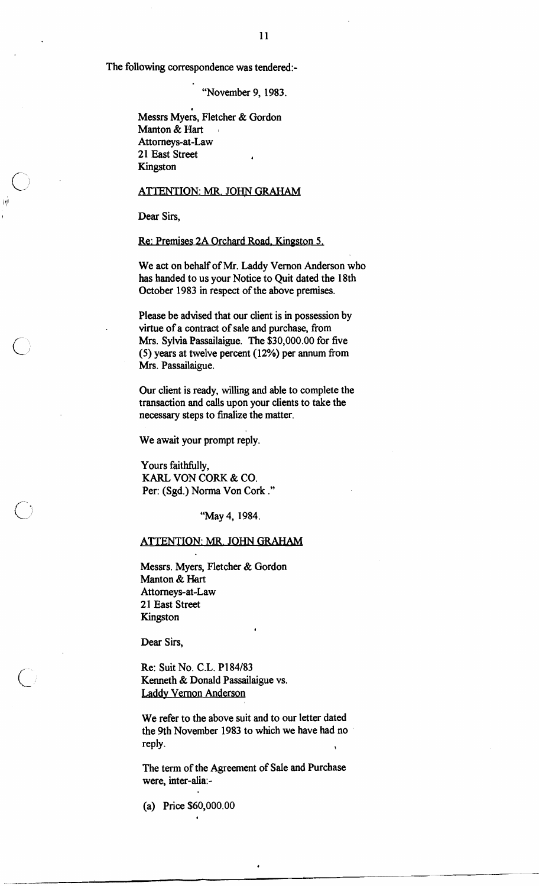The following correspondence was tendered:-

"November 9, 1983.

Messrs Myers, Fletcher & Gordon Manton & Hart Attorneys-at-Law 21 East Street **<sup>4</sup>** Kingston

## ATTENTION: MR. JOHN GRAHAM

Dear Sirs,

Re: Premises 2A Orchard Road, Kingston 5.

We act on behalf of Mr. Laddy Vernon Anderson who has handed to us your Notice to Quit dated the 18th October 1983 in respect of the above premises.

Please be advised that our client is in possession by virtue of a contract of sale and purchase, from Mrs. Sylvia Passailaigue. The \$30,000.00 for five (5) years at twelve percent (12%) per annum fiom Mrs. Passailaigue.

Our client is ready, willing and able to complete the transaction and calls upon your clients to take the necessary steps to finalize the matter.

We await your prompt reply.

Yours faithfully, KARL VON CORK & CO. Per: (Sgd.) Norma Von Cork ."

"May 4, 1984.

## ATTENTION: MR. JOHN GRAHAM

Messrs. Myers, Fletcher & Gordon Manton & Hart Attorneys-at-Law 21 East Street Kingston

Dear Sirs,

Re: Suit No. C.L. P184/83 Kenneth & Donald Passailaigue vs. Laddy Vernon Anderson

We refer to the above suit and to our letter dated the 9th November 1983 to which we have had no reply.

**4** 

The term of the Agreement of Sale and Purchase were, inter-alia:-

(a) Price \$60,000.00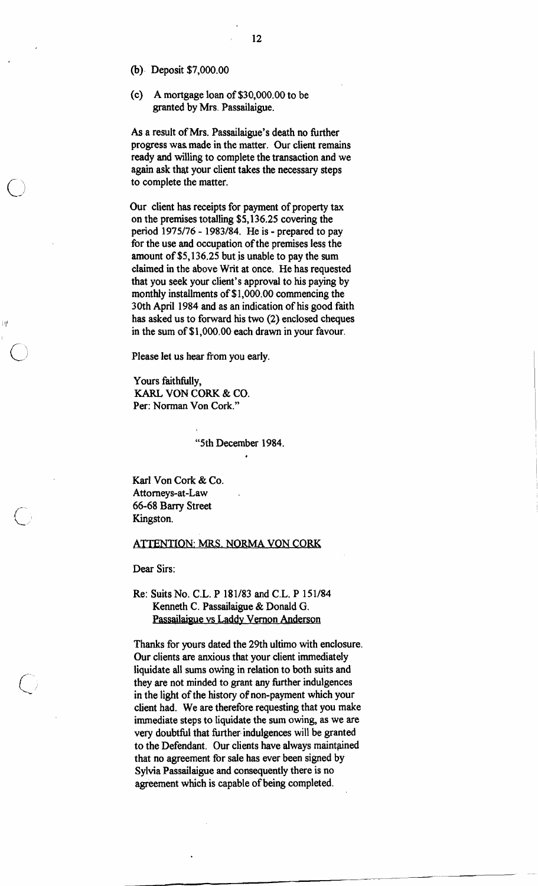**(b).** Deposit \$7,000.00

(c) A mortgage loan of \$30,000.00 to be granted by Mrs. Passailaigue.

As a result of Mrs. Passailaigue's death no further progress was made in the matter. Our client remains ready and willing to complete the transaction and we again ask that your client takes the necessary steps to complete the matter.

Our client has receipts for payment of property tax on the premises totalling \$5,136.25 covering the period 1975/76 - 1983/84. He is - prepared to pay for the use and occupation of the premises less the amount of \$5,136.25 but is unable to pay the sum claimed in the above Writ at once. He has requested that you seek your client's approval to his paying by monthly installments of \$1,000.00 commencing the 30th April 1984 and as an indication of his good faith has asked us to forward his two (2) enclosed cheques in the sum of \$1,000.00 each drawn in your favour.

Please let us hear from you early.

Yours faithfully, **KARL** VON CORK & CO. Per: Norman Von Cork."

"5th December 1984.

\*

Karl Von Cork & Co. Attorneys-at-Law 66-68 Bany Street Kingston.

#### ATTENTION: MRS. NORMA VON CORK

Dear Sirs:

## Re: Suits No. C.L. P 181/83 and C.L. P 151/84 Kenneth C. Passailaigue & Donald G. Passailaigue vs Laddy Vernon Anderson

Thanks for yours dated the 29th ultimo with enclosure. Our clients are anxious that your client immediately liquidate all sums owing in relation to both suits and they are not minded to grant any further indulgences in the light of the history of non-payment which your client had. We are therefore requesting that you make immediate steps to liquidate the sum owing, as we are very doubtful that further indulgences will be granted to the Defendant. Our clients have always maintained that no agreement for sale has ever been signed by Sylvia Passailaigue and consequently there is no agreement which is capable of being completed.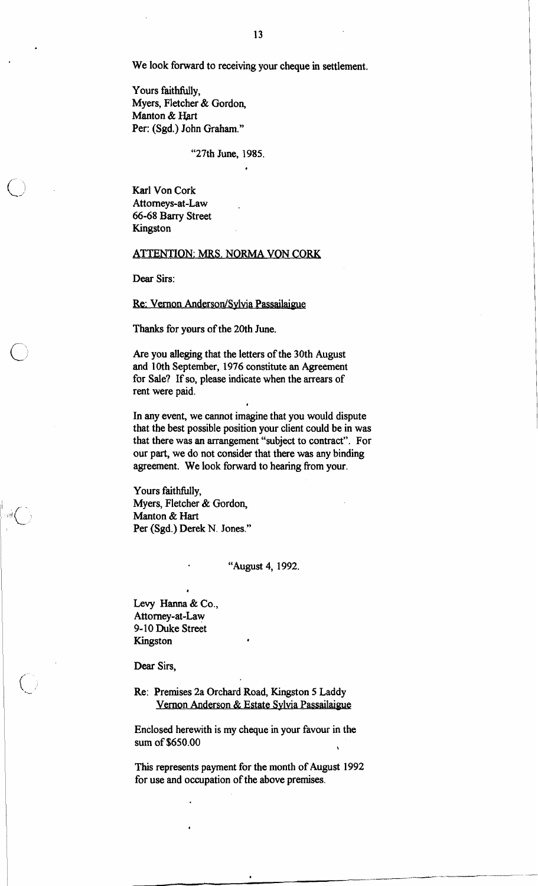We look forward to receiving your cheque in settlement.

Yours faithfidly, Myers, Fletcher & Gordon, Manton & Hart Per: (Sgd.) John Graham."

"27th June, 1985.

**a** 

Karl Von Cork Attorneys-at-Law 66-68 Barry Street Kingston

## **ATTENTION: MRS. NORMA VON CORK**

Dear Sirs:

### Re: Vernon Anderson/Sylvia Passailaigue

Thanks for yours of the 20th June.

Are you alleging that the letters of the 30th August and 10th September, 1976 constitute an Agreement for Sale? If so, please indicate when the arrears of rent were paid.

In any event, we cannot imagine that you would dispute that the best possible position your client could be in was that there was an arrangement "subject to contract". For our part, we do not consider that there was any binding agreement. We look forward to hearing from your.

**a** 

Yours faithfully, Myers, Fletcher & Gordon, Manton & Hart Per (Sgd.) Derek N. Jones."

## "August 4, 1992.

Levy Hanna & Co., Attorney-at-Law 9-10 Duke Street Kingston **<sup>4</sup>**

**4** 

Dear Sirs,

Re: Premises 2a Orchard Road, Kingston 5 Laddy Vernon Anderson & Estate Sylvia Passailaigue

Enclosed herewith is my cheque in your favour in the sum of \$650.00

This represents payment for the month of August 1992 for use and occupation of the above premises.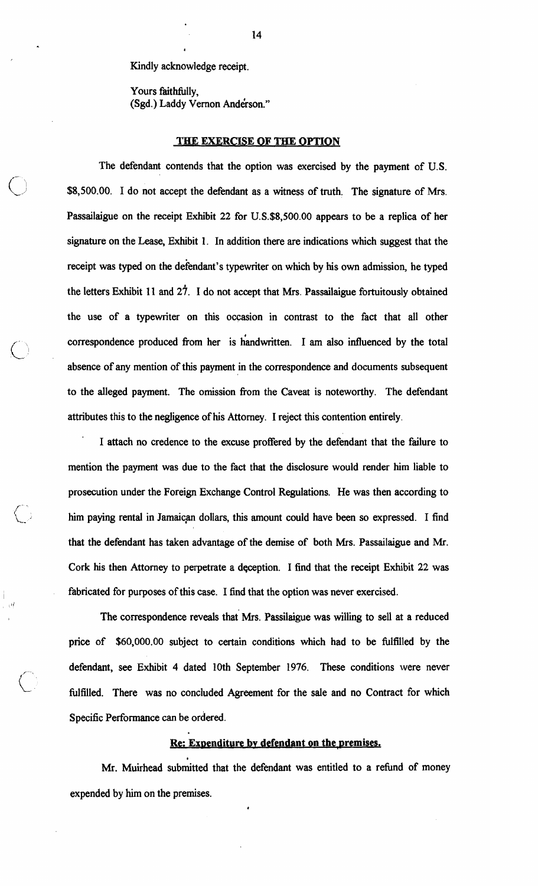Kindly acknowledge receipt.

I

Yours faithfully, (Sgd.) Laddy Vernon Anderson."

#### **THE EXERCISE OF THE OPTION**

The defendant contends that the option was exercised by the payment of U.S. \$8,500.00. I do not accept the defendant as a witness of truth. The signature of Mrs. Passailaigue on the receipt Exhibit 22 for U.S.\$8,500.00 appears to be a replica of her signature on the Lease, Exhibit 1. In addition there are indications which suggest that the receipt was typed on the defendant's typewriter on which by his own admission, he typed the letters Exhibit **11** and **z?. I** do not accept that Mrs. Passailaigue fortuitously obtained the use of a typewriter on this occasion in contrast to the fact that all other correspondence produced from her is handwritten. I am also influenced by the total absence of any mention of this payment in the correspondence and documents subsequent to the alleged payment. The omission fiom the Caveat is noteworthy. The defendant attributes this to the negligence of his Attorney. I reject this contention entirely.

I attach no credence to the excuse proffered by the defendant that the failure to mention the payment was due to the fact that the disclosure would render him liable to prosecution under the Foreign Exchange Control Regulations. He was then according to him paying rental in Jamaican dollars, this amount could have been so expressed. I find that the defendant has taken advantage of the demise of both Mrs. Passailaigue and Mr. Cork his then Attorney to perpetrate a deception. I find that the receipt Exhibit 22 was fabricated for purposes of this case. I find that the option was never exercised.

 $\mathcal{F}^{\mathcal{A}}$ 

The correspondence reveals that Mrs. Passilaigue was willing to sell at a reduced price of \$60,000.00 subject to certain conditions which had to be fulfilled by the defendant, see Exhibit **4** dated 10th September 1976. These conditions were never fulfilled. There was no concluded Agreement for the sale and no Contract for which Specific Performance can be ordered.

## **Re: Expenditure by defendant on the premises.**

Mr. Muirhead submitted that the defendant was entitled to a refund of money expended by **him** on the premises.

**4**